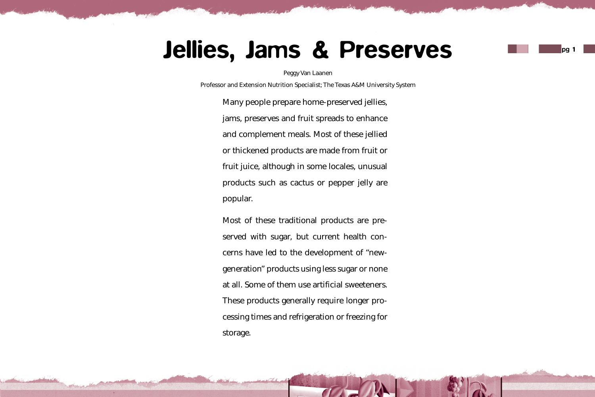# Jellies, Jams & Preserves

Peggy Van Laanen

Professor and Extension Nutrition Specialist; The Texas A&M University System

Many people prepare home-preserved jellies, jams, preserves and fruit spreads to enhance and complement meals. Most of these jellied or thickened products are made from fruit or fruit juice, although in some locales, unusual products such as cactus or pepper jelly are popular.

Most of these traditional products are preserved with sugar, but current health concerns have led to the development of "newgeneration" products using less sugar or none at all. Some of them use artificial sweeteners. These products generally require longer processing times and refrigeration or freezing for storage.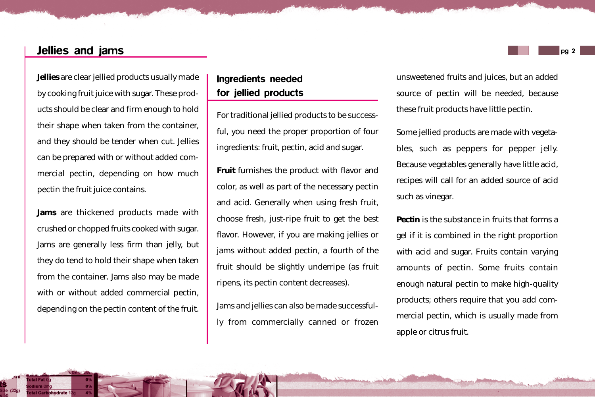## Jellies and jams

**Jellies** are clear jellied products usually made by cooking fruit juice with sugar. These products should be clear and firm enough to hold their shape when taken from the container, and they should be tender when cut. Jellies can be prepared with or without added commercial pectin, depending on how much pectin the fruit juice contains.

**Jams** are thickened products made with crushed or chopped fruits cooked with sugar. Jams are generally less firm than jelly, but they do tend to hold their shape when taken from the container. Jams also may be made with or without added commercial pectin, depending on the pectin content of the fruit.

# Ingredients needed for jellied products

For traditional jellied products to be successful, you need the proper proportion of four ingredients: fruit, pectin, acid and sugar.

**Fruit** furnishes the product with flavor and color, as well as part of the necessary pectin and acid. Generally when using fresh fruit, choose fresh, just-ripe fruit to get the best flavor. However, if you are making jellies or jams without added pectin, a fourth of the fruit should be slightly underripe (as fruit ripens, its pectin content decreases).

Jams and jellies can also be made successfully from commercially canned or frozen unsweetened fruits and juices, but an added source of pectin will be needed, because these fruit products have little pectin.

Some jellied products are made with vegetables, such as peppers for pepper jelly. Because vegetables generally have little acid, recipes will call for an added source of acid such as vinegar.

**Pectin** is the substance in fruits that forms a gel if it is combined in the right proportion with acid and sugar. Fruits contain varying amounts of pectin. Some fruits contain enough natural pectin to make high-quality products; others require that you add commercial pectin, which is usually made from apple or citrus fruit.

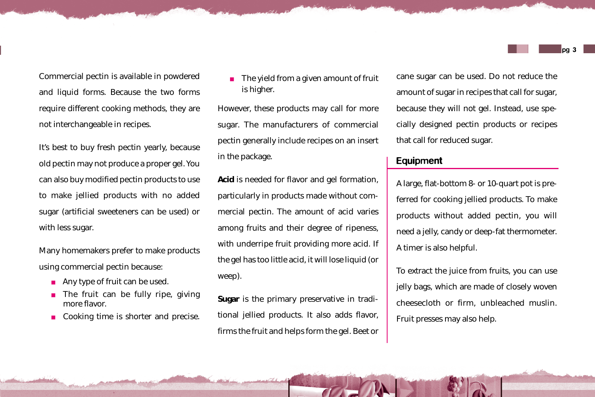Commercial pectin is available in powdered and liquid forms. Because the two forms require different cooking methods, they are not interchangeable in recipes.

It's best to buy fresh pectin yearly, because old pectin may not produce a proper gel. You can also buy modified pectin products to use to make jellied products with no added sugar (artificial sweeteners can be used) or with less sugar.

Many homemakers prefer to make products using commercial pectin because:

- Any type of fruit can be used.
- The fruit can be fully ripe, giving more flavor.
- Cooking time is shorter and precise.

The yield from a given amount of fruit is higher.

However, these products may call for more sugar. The manufacturers of commercial pectin generally include recipes on an insert in the package.

**Acid** is needed for flavor and gel formation, particularly in products made without commercial pectin. The amount of acid varies among fruits and their degree of ripeness, with underripe fruit providing more acid. If the gel has too little acid, it will lose liquid (or weep).

**Sugar** is the primary preservative in traditional jellied products. It also adds flavor, firms the fruit and helps form the gel. Beet or cane sugar can be used. Do not reduce the amount of sugar in recipes that call for sugar, because they will not gel. Instead, use specially designed pectin products or recipes that call for reduced sugar.

## Equipment

A large, flat-bottom 8- or 10-quart pot is preferred for cooking jellied products. To make products without added pectin, you will need a jelly, candy or deep-fat thermometer. A timer is also helpful.

To extract the juice from fruits, you can use jelly bags, which are made of closely woven cheesecloth or firm, unbleached muslin. Fruit presses may also help.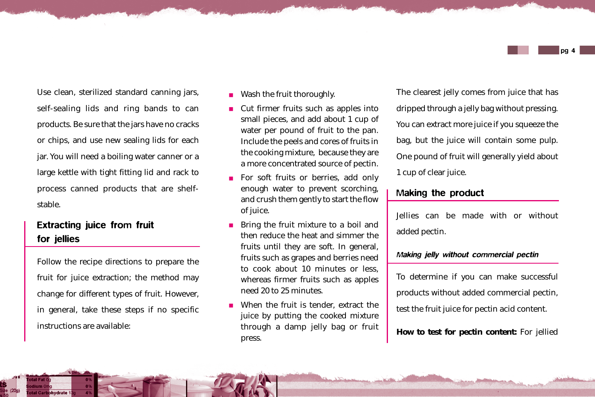

Use clean, sterilized standard canning jars, self-sealing lids and ring bands to can products. Be sure that the jars have no cracks or chips, and use new sealing lids for each jar. You will need a boiling water canner or a large kettle with tight fitting lid and rack to process canned products that are shelfstable.

# Extracting juice from fruit for jellies

Follow the recipe directions to prepare the fruit for juice extraction; the method may change for different types of fruit. However, in general, take these steps if no specific instructions are available:

- Wash the fruit thoroughly.
- Cut firmer fruits such as apples into small pieces, and add about 1 cup of water per pound of fruit to the pan. Include the peels and cores of fruits in the cooking mixture, because they are a more concentrated source of pectin.
- For soft fruits or berries, add only enough water to prevent scorching, and crush them gently to start the flow of juice.
- Bring the fruit mixture to a boil and then reduce the heat and simmer the fruits until they are soft. In general, fruits such as grapes and berries need to cook about 10 minutes or less, whereas firmer fruits such as apples need 20 to 25 minutes.
- When the fruit is tender, extract the juice by putting the cooked mixture through a damp jelly bag or fruit press.

The clearest jelly comes from juice that has dripped through a jelly bag without pressing. You can extract more juice if you squeeze the bag, but the juice will contain some pulp. One pound of fruit will generally yield about 1 cup of clear juice.

## Making the product

Jellies can be made with or without added pectin.

#### Making jelly without commercial pectin

To determine if you can make successful products without added commercial pectin, test the fruit juice for pectin acid content.

**How to test for pectin content:** For jellied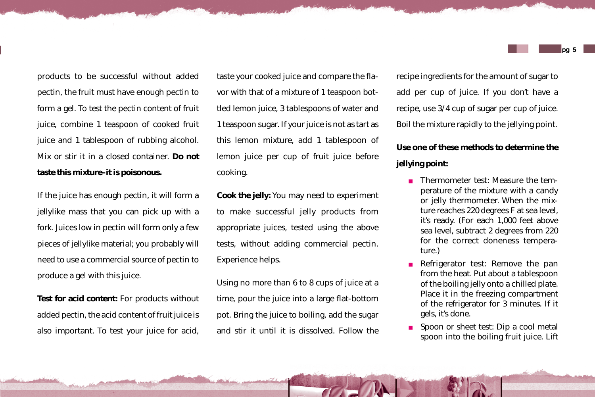products to be successful without added pectin, the fruit must have enough pectin to form a gel. To test the pectin content of fruit juice, combine 1 teaspoon of cooked fruit juice and 1 tablespoon of rubbing alcohol. Mix or stir it in a closed container. **Do not taste this mixture–it is poisonous.**

If the juice has enough pectin, it will form a jellylike mass that you can pick up with a fork. Juices low in pectin will form only a few pieces of jellylike material; you probably will need to use a commercial source of pectin to produce a gel with this juice.

**Test for acid content:** For products without added pectin, the acid content of fruit juice is also important. To test your juice for acid,

taste your cooked juice and compare the flavor with that of a mixture of 1 teaspoon bottled lemon juice, 3 tablespoons of water and 1 teaspoon sugar. If your juice is not as tart as this lemon mixture, add 1 tablespoon of lemon juice per cup of fruit juice before cooking.

**Cook the jelly:** You may need to experiment to make successful jelly products from appropriate juices, tested using the above tests, without adding commercial pectin. Experience helps.

Using no more than 6 to 8 cups of juice at a time, pour the juice into a large flat-bottom pot. Bring the juice to boiling, add the sugar and stir it until it is dissolved. Follow the

recipe ingredients for the amount of sugar to add per cup of juice. If you don't have a recipe, use 3/4 cup of sugar per cup of juice. Boil the mixture rapidly to the jellying point.

# **Use one of these methods to determine the jellying point:**

- Thermometer test: Measure the temperature of the mixture with a candy or jelly thermometer. When the mixture reaches 220 degrees F at sea level, it's ready. (For each 1,000 feet above sea level, subtract 2 degrees from 220 for the correct doneness temperature.)
- Refrigerator test: Remove the pan from the heat. Put about a tablespoon of the boiling jelly onto a chilled plate. Place it in the freezing compartment of the refrigerator for 3 minutes. If it gels, it's done.
- Spoon or sheet test: Dip a cool metal spoon into the boiling fruit juice. Lift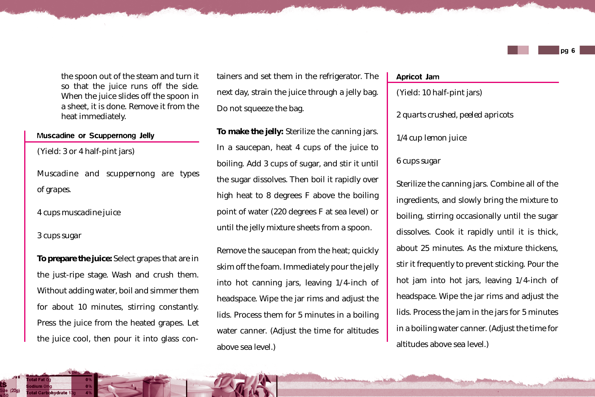the spoon out of the steam and turn it so that the juice runs off the side. When the juice slides off the spoon in a sheet, it is done. Remove it from the heat immediately.

#### Muscadine or Scuppernong Jelly

(Yield: 3 or 4 half-pint jars)

*Muscadine and scuppernong are types of grapes.*

*4 cups muscadine juice*

*3 cups sugar*

**To prepare the juice:** Select grapes that are in the just-ripe stage. Wash and crush them. Without adding water, boil and simmer them for about 10 minutes, stirring constantly. Press the juice from the heated grapes. Let the juice cool, then pour it into glass containers and set them in the refrigerator. The next day, strain the juice through a jelly bag. Do not squeeze the bag.

**To make the jelly:** Sterilize the canning jars. In a saucepan, heat 4 cups of the juice to boiling. Add 3 cups of sugar, and stir it until the sugar dissolves. Then boil it rapidly over high heat to 8 degrees F above the boiling point of water (220 degrees F at sea level) or until the jelly mixture sheets from a spoon.

Remove the saucepan from the heat; quickly skim off the foam. Immediately pour the jelly into hot canning jars, leaving 1/4-inch of headspace. Wipe the jar rims and adjust the lids. Process them for 5 minutes in a boiling water canner. (Adjust the time for altitudes above sea level.)

#### Apricot Jam

(Yield: 10 half-pint jars) *2 quarts crushed, peeled apricots 1/4 cup lemon juice*

#### *6 cups sugar*

Sterilize the canning jars. Combine all of the ingredients, and slowly bring the mixture to boiling, stirring occasionally until the sugar dissolves. Cook it rapidly until it is thick, about 25 minutes. As the mixture thickens, stir it frequently to prevent sticking. Pour the hot jam into hot jars, leaving 1/4-inch of headspace. Wipe the jar rims and adjust the lids. Process the jam in the jars for 5 minutes in a boiling water canner. (Adjust the time for altitudes above sea level.)

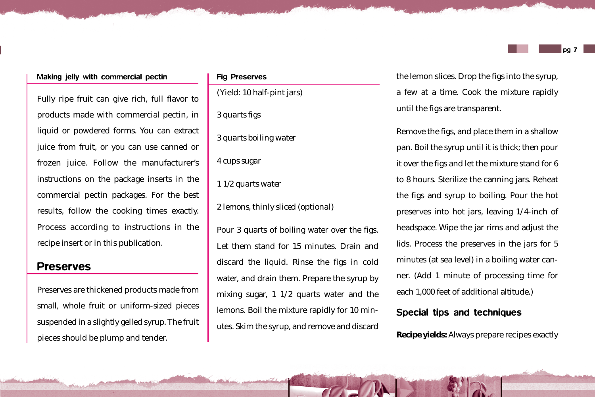#### pg 7

#### Making jelly with commercial pectin

Fully ripe fruit can give rich, full flavor to products made with commercial pectin, in liquid or powdered forms. You can extract juice from fruit, or you can use canned or frozen juice. Follow the manufacturer's instructions on the package inserts in the commercial pectin packages. For the best results, follow the cooking times exactly. Process according to instructions in the recipe insert or in this publication.

## Preserves

Preserves are thickened products made from small, whole fruit or uniform-sized pieces suspended in a slightly gelled syrup. The fruit pieces should be plump and tender.

#### Fig Preserves

(Yield: 10 half-pint jars)

*3 quarts figs*

*3 quarts boiling water*

*4 cups sugar*

*1 1/2 quarts water*

*2 lemons, thinly sliced (optional)*

Pour 3 quarts of boiling water over the figs. Let them stand for 15 minutes. Drain and discard the liquid. Rinse the figs in cold water, and drain them. Prepare the syrup by mixing sugar, 1 1/2 quarts water and the lemons. Boil the mixture rapidly for 10 minutes. Skim the syrup, and remove and discard the lemon slices. Drop the figs into the syrup, a few at a time. Cook the mixture rapidly until the figs are transparent.

Remove the figs, and place them in a shallow pan. Boil the syrup until it is thick; then pour it over the figs and let the mixture stand for 6 to 8 hours. Sterilize the canning jars. Reheat the figs and syrup to boiling. Pour the hot preserves into hot jars, leaving 1/4-inch of headspace. Wipe the jar rims and adjust the lids. Process the preserves in the jars for 5 minutes (at sea level) in a boiling water canner. (Add 1 minute of processing time for each 1,000 feet of additional altitude.)

## Special tips and techniques

**Recipe yields:** Always prepare recipes exactly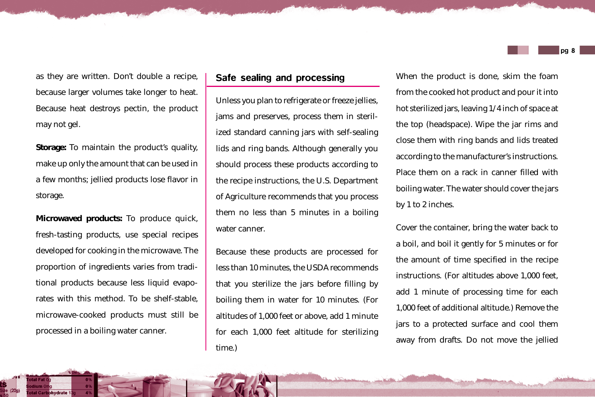as they are written. Don't double a recipe, because larger volumes take longer to heat. Because heat destroys pectin, the product may not gel.

**Storage:** To maintain the product's quality, make up only the amount that can be used in a few months; jellied products lose flavor in storage.

**Microwaved products:** To produce quick, fresh-tasting products, use special recipes developed for cooking in the microwave. The proportion of ingredients varies from traditional products because less liquid evaporates with this method. To be shelf-stable, microwave-cooked products must still be processed in a boiling water canner.

## Safe sealing and processing

Unless you plan to refrigerate or freeze jellies, jams and preserves, process them in sterilized standard canning jars with self-sealing lids and ring bands. Although generally you should process these products according to the recipe instructions, the U.S. Department of Agriculture recommends that you process them no less than 5 minutes in a boiling water canner.

Because these products are processed for less than 10 minutes, the USDA recommends that you sterilize the jars before filling by boiling them in water for 10 minutes. (For altitudes of 1,000 feet or above, add 1 minute for each 1,000 feet altitude for sterilizing time.)

When the product is done, skim the foam from the cooked hot product and pour it into hot sterilized jars, leaving 1/4 inch of space at the top (headspace). Wipe the jar rims and close them with ring bands and lids treated according to the manufacturer's instructions. Place them on a rack in canner filled with boiling water. The water should cover the jars by 1 to 2 inches.

Cover the container, bring the water back to a boil, and boil it gently for 5 minutes or for the amount of time specified in the recipe instructions. (For altitudes above 1,000 feet, add 1 minute of processing time for each 1,000 feet of additional altitude.) Remove the jars to a protected surface and cool them away from drafts. Do not move the jellied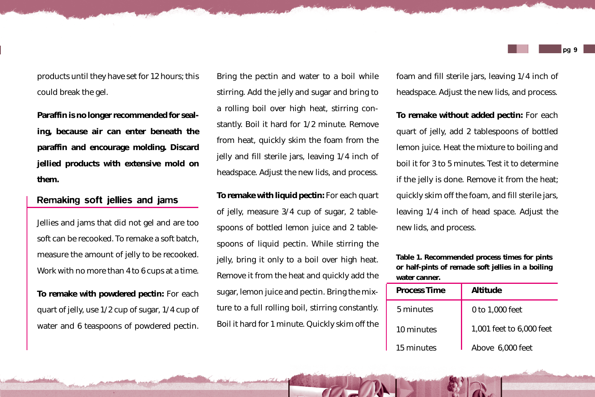products until they have set for 12 hours; this could break the gel.

**Paraffin is no longer recommended for sealing, because air can enter beneath the paraffin and encourage molding. Discard jellied products with extensive mold on them.**

## Remaking soft jellies and jams

Jellies and jams that did not gel and are too soft can be recooked. To remake a soft batch, measure the amount of jelly to be recooked. Work with no more than 4 to 6 cups at a time.

**To remake with powdered pectin:** For each quart of jelly, use 1/2 cup of sugar, 1/4 cup of water and 6 teaspoons of powdered pectin.

Bring the pectin and water to a boil while stirring. Add the jelly and sugar and bring to a rolling boil over high heat, stirring constantly. Boil it hard for 1/2 minute. Remove from heat, quickly skim the foam from the jelly and fill sterile jars, leaving 1/4 inch of headspace. Adjust the new lids, and process.

**To remake with liquid pectin:** For each quart of jelly, measure 3/4 cup of sugar, 2 tablespoons of bottled lemon juice and 2 tablespoons of liquid pectin. While stirring the jelly, bring it only to a boil over high heat. Remove it from the heat and quickly add the sugar, lemon juice and pectin. Bring the mixture to a full rolling boil, stirring constantly. Boil it hard for 1 minute. Quickly skim off the

foam and fill sterile jars, leaving 1/4 inch of headspace. Adjust the new lids, and process.

**To remake without added pectin:** For each quart of jelly, add 2 tablespoons of bottled lemon juice. Heat the mixture to boiling and boil it for 3 to 5 minutes. Test it to determine if the jelly is done. Remove it from the heat; quickly skim off the foam, and fill sterile jars, leaving 1/4 inch of head space. Adjust the new lids, and process.

**Table 1. Recommended process times for pints or half-pints of remade soft jellies in a boiling water canner.**

| <b>Process Time</b> | Altitude                 |
|---------------------|--------------------------|
| 5 minutes           | 0 to 1,000 feet          |
| 10 minutes          | 1,001 feet to 6,000 feet |
| 15 minutes          | Above 6,000 feet         |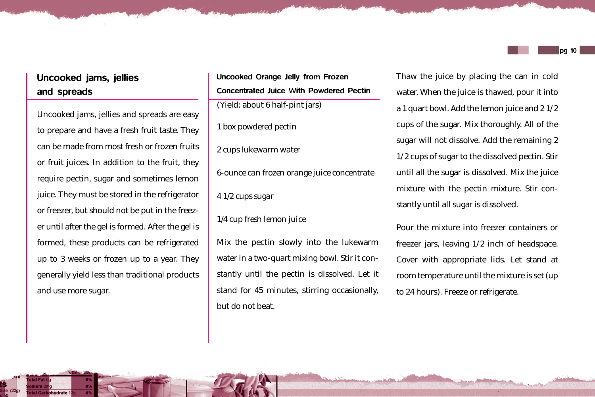# Uncooked jams, jellies and spreads

Uncooked jams, jellies and spreads are easy to prepare and have a fresh fruit taste. They can be made from most fresh or frozen fruits or fruit juices. In addition to the fruit, they require pectin, sugar and sometimes lemon juice. They must be stored in the refrigerator or freezer, but should not be put in the freezer until after the gel is formed. After the gel is formed, these products can be refrigerated up to 3 weeks or frozen up to a year. They generally yield less than traditional products and use more sugar.

## Uncooked Orange Jelly from Frozen Concentrated Juice With Powdered Pectin (Yield: about 6 half-pint jars)

*1 box powdered pectin*

*2 cups lukewarm water*

*6-ounce can frozen orange juice concentrate*

*4 1/2 cups sugar*

*1/4 cup fresh lemon juice*

Mix the pectin slowly into the lukewarm water in a two-quart mixing bowl. Stir it constantly until the pectin is dissolved. Let it stand for 45 minutes, stirring occasionally, but do not beat.

Thaw the juice by placing the can in cold water. When the juice is thawed, pour it into a 1 quart bowl. Add the lemon juice and 2 1/2 cups of the sugar. Mix thoroughly. All of the sugar will not dissolve. Add the remaining 2 1/2 cups of sugar to the dissolved pectin. Stir until all the sugar is dissolved. Mix the juice mixture with the pectin mixture. Stir constantly until all sugar is dissolved.

Pour the mixture into freezer containers or freezer jars, leaving 1/2 inch of headspace. Cover with appropriate lids. Let stand at room temperature until the mixture is set (up to 24 hours). Freeze or refrigerate.

pg 10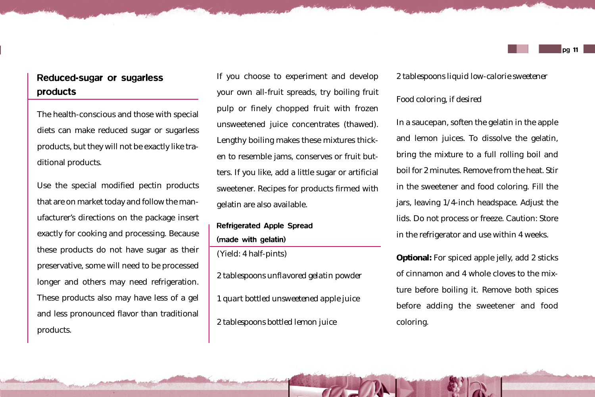# Reduced-sugar or sugarless products

The health-conscious and those with special diets can make reduced sugar or sugarless products, but they will not be exactly like traditional products.

Use the special modified pectin products that are on market today and follow the manufacturer's directions on the package insert exactly for cooking and processing. Because these products do not have sugar as their preservative, some will need to be processed longer and others may need refrigeration. These products also may have less of a gel and less pronounced flavor than traditional products.

If you choose to experiment and develop your own all-fruit spreads, try boiling fruit pulp or finely chopped fruit with frozen unsweetened juice concentrates (thawed). Lengthy boiling makes these mixtures thicken to resemble jams, conserves or fruit butters. If you like, add a little sugar or artificial sweetener. Recipes for products firmed with gelatin are also available.

# Refrigerated Apple Spread (made with gelatin)

(Yield: 4 half-pints)

*2 tablespoons unflavored gelatin powder 1 quart bottled unsweetened apple juice 2 tablespoons bottled lemon juice*

*2 tablespoons liquid low-calorie sweetener*

#### *Food coloring, if desired*

In a saucepan, soften the gelatin in the apple and lemon juices. To dissolve the gelatin, bring the mixture to a full rolling boil and boil for 2 minutes. Remove from the heat. Stir in the sweetener and food coloring. Fill the jars, leaving 1/4-inch headspace. Adjust the lids. Do not process or freeze. Caution: Store in the refrigerator and use within 4 weeks.

**Optional:** For spiced apple jelly, add 2 sticks of cinnamon and 4 whole cloves to the mixture before boiling it. Remove both spices before adding the sweetener and food coloring.